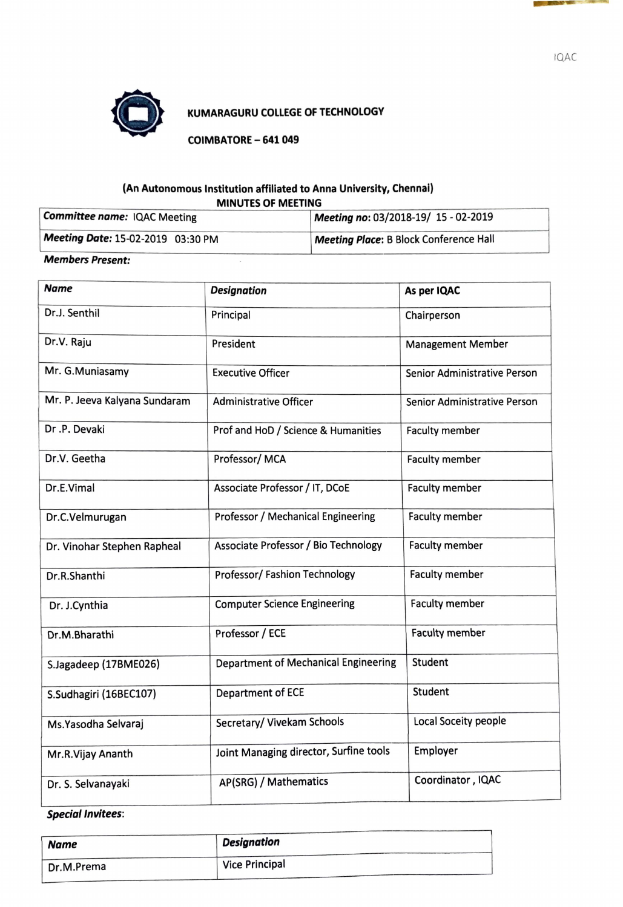

### **0 KUMARAGURU COLLEGE OF TECHNOLOGY**

**COIMBATORE - 641 049** 

#### **(An Autonomous Institution affiliated to Anna University, Chennal) MINUTES OF MEETING**

| Committee name: IQAC Meeting      | Meeting no: 03/2018-19/ 15 - 02-2019          |
|-----------------------------------|-----------------------------------------------|
| Meeting Date: 15-02-2019 03:30 PM | <b>Meeting Place: B Block Conference Hall</b> |

#### **Members Present:**

| <b>Name</b>                   | <b>Designation</b>                     | As per IQAC                  |  |
|-------------------------------|----------------------------------------|------------------------------|--|
| Dr.J. Senthil                 | Principal                              | Chairperson                  |  |
| Dr.V. Raju                    | President                              | <b>Management Member</b>     |  |
| Mr. G.Muniasamy               | <b>Executive Officer</b>               | Senior Administrative Person |  |
| Mr. P. Jeeva Kalyana Sundaram | <b>Administrative Officer</b>          | Senior Administrative Person |  |
| Dr.P. Devaki                  | Prof and HoD / Science & Humanities    | <b>Faculty member</b>        |  |
| Dr.V. Geetha                  | Professor/MCA                          | Faculty member               |  |
| Dr.E.Vimal                    | Associate Professor / IT, DCoE         | <b>Faculty member</b>        |  |
| Dr.C.Velmurugan               | Professor / Mechanical Engineering     | <b>Faculty member</b>        |  |
| Dr. Vinohar Stephen Rapheal   | Associate Professor / Bio Technology   | <b>Faculty member</b>        |  |
| Dr.R.Shanthi                  | Professor/ Fashion Technology          | <b>Faculty member</b>        |  |
| Dr. J.Cynthia                 | <b>Computer Science Engineering</b>    | <b>Faculty member</b>        |  |
| Dr.M.Bharathi                 | Professor / ECE                        | <b>Faculty member</b>        |  |
| S.Jagadeep (17BME026)         | Department of Mechanical Engineering   | Student                      |  |
| S.Sudhagiri (16BEC107)        | Department of ECE                      | Student                      |  |
| Ms. Yasodha Selvaraj          | Secretary/ Vivekam Schools             | Local Soceity people         |  |
| Mr.R.Vijay Ananth             | Joint Managing director, Surfine tools | Employer                     |  |
| Dr. S. Selvanayaki            | AP(SRG) / Mathematics                  | Coordinator, IQAC            |  |

# **Special Invitees:**

| <b>Name</b> | <b>Designation</b>    |  |
|-------------|-----------------------|--|
| Dr.M.Prema  | <b>Vice Principal</b> |  |

IQAC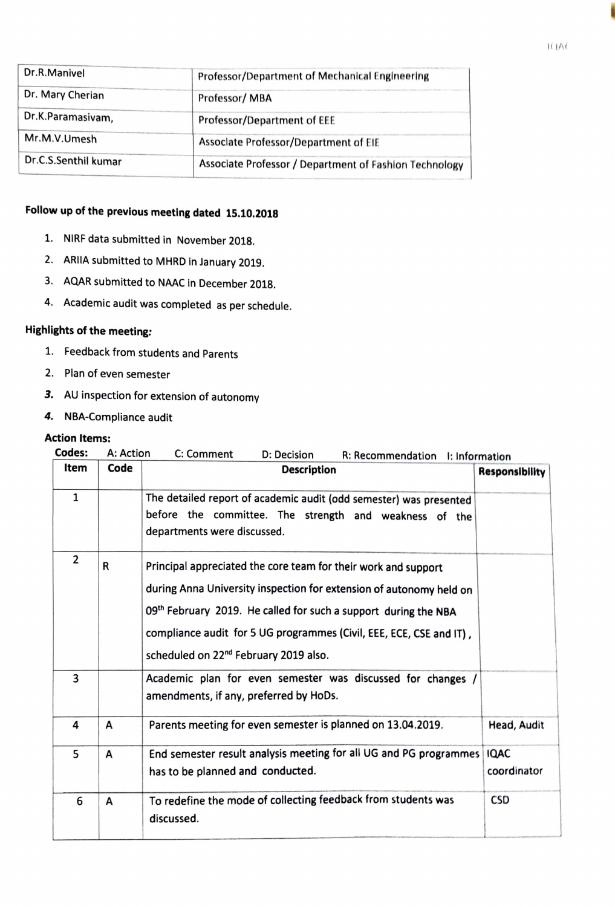| Dr.R.Manivel         | Professor/Department of Mechanical Engineering         |
|----------------------|--------------------------------------------------------|
| Dr. Mary Cherian     | Professor/MBA                                          |
| Dr.K.Paramasivam,    | Professor/Department of EEE                            |
| Mr.M.V.Umesh         | Associate Professor/Department of EIE                  |
| Dr.C.S.Senthil kumar | Associate Professor / Department of Fashion Technology |

# **Follow up of the previous meeting dated 15.10.2018**

- 1. NIRF data submitted in November 2018.
- 2. **ARIIA** submitted to MHRD In January 2019.
- 3. AQAR submitted to NAAC In December 2018.
- 4. Academic audit was completed as per schedule.

# **Highlights of the meeting:**

- 1. Feedback from students and Parents
- 2. Plan of even semester
- *3.* AU inspection for extension of autonomy
- *4.* NBA-Compliance audit

#### **Action Items:**

| Codes:         | A: Action | C: Comment<br>D: Decision<br>R: Recommendation I: Information                                                                                                                                                                                                                                                                        |                            |
|----------------|-----------|--------------------------------------------------------------------------------------------------------------------------------------------------------------------------------------------------------------------------------------------------------------------------------------------------------------------------------------|----------------------------|
| Item           | Code      | <b>Description</b>                                                                                                                                                                                                                                                                                                                   | Responsibility             |
| $\mathbf{1}$   |           | The detailed report of academic audit (odd semester) was presented<br>before the committee. The strength and weakness of the<br>departments were discussed.                                                                                                                                                                          |                            |
| $\overline{2}$ | R         | Principal appreciated the core team for their work and support<br>during Anna University inspection for extension of autonomy held on<br>09th February 2019. He called for such a support during the NBA<br>compliance audit for 5 UG programmes (Civil, EEE, ECE, CSE and IT),<br>scheduled on 22 <sup>nd</sup> February 2019 also. |                            |
| 3              |           | Academic plan for even semester was discussed for changes /<br>amendments, if any, preferred by HoDs.                                                                                                                                                                                                                                |                            |
| 4              | A         | Parents meeting for even semester is planned on 13.04.2019.                                                                                                                                                                                                                                                                          | Head, Audit                |
| 5              | A         | End semester result analysis meeting for all UG and PG programmes<br>has to be planned and conducted.                                                                                                                                                                                                                                | <b>IQAC</b><br>coordinator |
| 6              | A         | To redefine the mode of collecting feedback from students was<br>discussed.                                                                                                                                                                                                                                                          | <b>CSD</b>                 |
|                |           |                                                                                                                                                                                                                                                                                                                                      |                            |